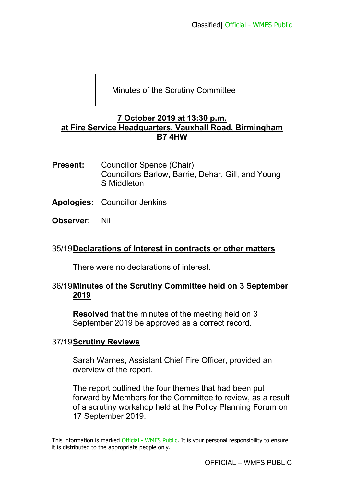## Minutes of the Scrutiny Committee

#### **7 October 2019 at 13:30 p.m. at Fire Service Headquarters, Vauxhall Road, Birmingham B7 4HW**

- **Present:** Councillor Spence (Chair) Councillors Barlow, Barrie, Dehar, Gill, and Young S Middleton
- **Apologies:** Councillor Jenkins
- **Observer:** Nil

### 35/19 **Declarations of Interest in contracts or other matters**

There were no declarations of interest.

### 36/19 **Minutes of the Scrutiny Committee held on 3 September 2019**

**Resolved** that the minutes of the meeting held on 3 September 2019 be approved as a correct record.

#### 37/19 **Scrutiny Reviews**

Sarah Warnes, Assistant Chief Fire Officer, provided an overview of the report.

The report outlined the four themes that had been put forward by Members for the Committee to review, as a result of a scrutiny workshop held at the Policy Planning Forum on 17 September 2019.

This information is marked Official - WMFS Public. It is your personal responsibility to ensure it is distributed to the appropriate people only.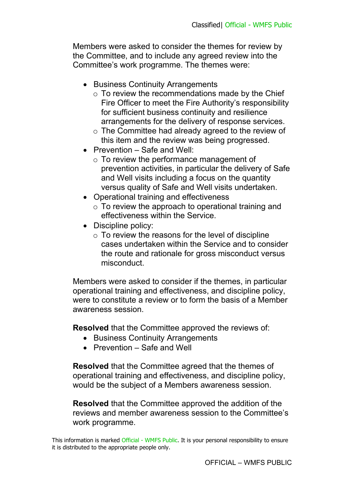Members were asked to consider the themes for review by the Committee, and to include any agreed review into the Committee's work programme. The themes were:

- Business Continuity Arrangements
	- $\circ$  To review the recommendations made by the Chief Fire Officer to meet the Fire Authority's responsibility for sufficient business continuity and resilience arrangements for the delivery of response services.
	- o The Committee had already agreed to the review of this item and the review was being progressed.
- Prevention Safe and Well:
	- o To review the performance management of prevention activities, in particular the delivery of Safe and Well visits including a focus on the quantity versus quality of Safe and Well visits undertaken.
- Operational training and effectiveness
	- $\circ$  To review the approach to operational training and effectiveness within the Service.
- Discipline policy:
	- $\circ$  To review the reasons for the level of discipline cases undertaken within the Service and to consider the route and rationale for gross misconduct versus misconduct.

Members were asked to consider if the themes, in particular operational training and effectiveness, and discipline policy, were to constitute a review or to form the basis of a Member awareness session.

**Resolved** that the Committee approved the reviews of:

- Business Continuity Arrangements
- Prevention Safe and Well

**Resolved** that the Committee agreed that the themes of operational training and effectiveness, and discipline policy, would be the subject of a Members awareness session.

**Resolved** that the Committee approved the addition of the reviews and member awareness session to the Committee's work programme.

This information is marked Official - WMFS Public. It is your personal responsibility to ensure it is distributed to the appropriate people only.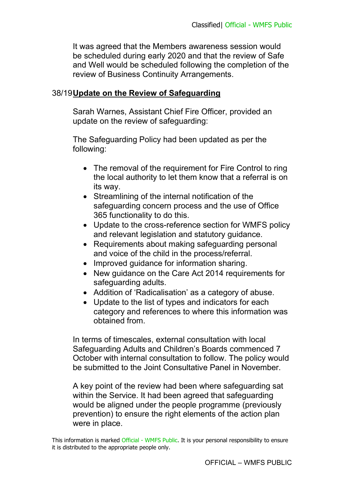It was agreed that the Members awareness session would be scheduled during early 2020 and that the review of Safe and Well would be scheduled following the completion of the review of Business Continuity Arrangements.

# 38/19 **Update on the Review of Safeguarding**

Sarah Warnes, Assistant Chief Fire Officer, provided an update on the review of safeguarding:

The Safeguarding Policy had been updated as per the following:

- The removal of the requirement for Fire Control to ring the local authority to let them know that a referral is on its way.
- Streamlining of the internal notification of the safeguarding concern process and the use of Office 365 functionality to do this.
- Update to the cross-reference section for WMFS policy and relevant legislation and statutory guidance.
- Requirements about making safeguarding personal and voice of the child in the process/referral.
- Improved quidance for information sharing.
- New guidance on the Care Act 2014 requirements for safeguarding adults.
- Addition of 'Radicalisation' as a category of abuse.
- Update to the list of types and indicators for each category and references to where this information was obtained from.

In terms of timescales, external consultation with local Safeguarding Adults and Children's Boards commenced 7 October with internal consultation to follow. The policy would be submitted to the Joint Consultative Panel in November.

A key point of the review had been where safeguarding sat within the Service. It had been agreed that safeguarding would be aligned under the people programme (previously prevention) to ensure the right elements of the action plan were in place.

This information is marked Official - WMFS Public. It is your personal responsibility to ensure it is distributed to the appropriate people only.